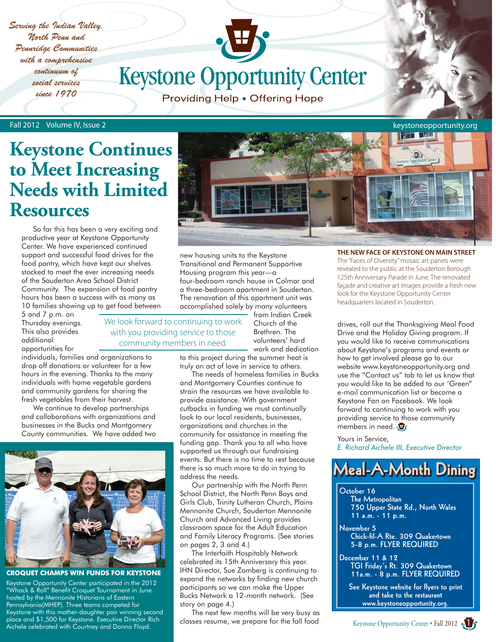*Serving the Indian Valley, North Penn and Pennridge Communities with a comprehensive continuum of social services since 1970*

**Keystone Opportunity Center** 

Providing Help . Offering Hope

Fall 2012 Volume IV, Issue 2

## **Keystone Continues to Meet Increasing Needs with Limited Resources**

 So far this has been a very exciting and productive year at Keystone Opportunity Center. We have experienced continued support and successful food drives for the food pantry, which have kept our shelves stocked to meet the ever increasing needs of the Souderton Area School District Community. The expansion of food pantry hours has been a success with as many as 10 families showing up to get food between

5 and 7 p.m. on Thursday evenings. This also provides additional

opportunities for individuals, families and organizations to drop off donations or volunteer for a few hours in the evening. Thanks to the many individuals with home vegetable gardens

and community gardens for sharing the fresh vegetables from their harvest. We continue to develop partnerships and collaborations with organizations and businesses in the Bucks and Montgomery County communities. We have added two



**CROQUET CHAMPS WIN FUNDS FOR KEYSTONE**

Keystone Opportunity Center participated in the 2012 "Whack & Roll" Benefit Croquet Tournament in June hosted by the Mennonite Historians of Eastern Pennsylvania(MHEP). Three teams competed for Keystone with this mother-daughter pair winning second place and \$1,500 for Keystone. Executive Director Rich Aichele celebrated with Courtney and Donna Floyd.



new housing units to the Keystone Transitional and Permanent Supportive Housing program this year—a four-bedroom ranch house in Colmar and a three-bedroom apartment in Souderton. The renovation of this apartment unit was accomplished solely by many volunteers

We look forward to continuing to work with you providing service to those community members in need.

Church of the Brethren. The volunteers' hard work and dedication

from Indian Creek

to this project during the summer heat is truly an act of love in service to others.

 The needs of homeless families in Bucks and Montgomery Counties continue to strain the resources we have available to provide assistance. With government cutbacks in funding we must continually look to our local residents, businesses, organizations and churches in the community for assistance in meeting the funding gap. Thank you to all who have supported us through our fundraising events. But there is no time to rest because there is so much more to do in trying to address the needs.

 Our partnership with the North Penn School District, the North Penn Boys and Girls Club, Trinity Lutheran Church, Plains Mennonite Church, Souderton Mennonite Church and Advanced Living provides classroom space for the Adult Education and Family Literacy Programs. (See stories on pages 2, 3 and 4.)

 The Interfaith Hospitably Network celebrated its 15th Anniversary this year. IHN Director, Sue Zomberg is continuing to expand the networks by finding new church participants so we can make the Upper Bucks Network a 12-month network. (See story on page 4.)

 The next few months will be very busy as classes resume, we prepare for the fall food

**THE NEW FACE OF KEYSTONE ON MAIN STREET** The "Faces of Diversity" mosaic art panels were revealed to the public at the Souderton Borough 125th Anniversary Parade in June. The renovated façade and creative art images provide a fresh new look for the Keystone Opportunity Center headquarters located in Souderton.

drives, roll out the Thanksgiving Meal Food Drive and the Holiday Giving program. If you would like to receive communications about Keystone's programs and events or how to get involved please go to our website www.keystoneopportunity.org and use the "Contact us" tab to let us know that you would like to be added to our 'Green" e-mail communication list or become a Keystone Fan on Facebook. We look forward to continuing to work with you providing service to those community members in need.

Yours in Service, *E. Richard Aichele III, Executive Director*

## **Meal-A-Month Dining Meal-A-Month Dining Meal-A-Month**

#### **October 16**

 **The Metropolitan 750 Upper State Rd., North Wales 11 a.m. - 11 p.m.**

**November 5 Chick-fil-A Rte. 309 Quakertown 5-8 p.m. FLYER REQUIRED**

**December 11 & 12 TGI Friday's Rt. 309 Quakertown 11a.m. - 8 p.m. FLYER REQUIRED**

 **See Keystone website for flyers to print and take to the restaurant www.keystoneopportunity.org.**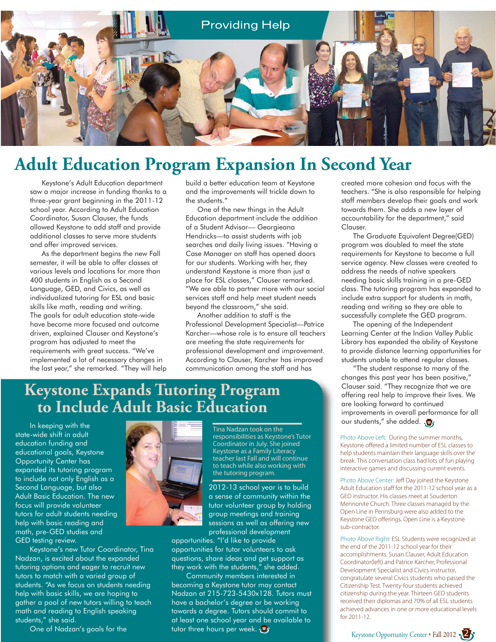

## **Adult Education Program Expansion In Second Year**

 Keystone's Adult Education department saw a major increase in funding thanks to a three-year grant beginning in the 2011-12 school year. According to Adult Education Coordinator, Susan Clauser, the funds allowed Keystone to add staff and provide additional classes to serve more students and offer improved services.

 As the department begins the new Fall semester, it will be able to offer classes at various levels and locations for more than 400 students in English as a Second Language, GED, and Civics, as well as individualized tutoring for ESL and basic skills like math, reading and writing. The goals for adult education state-wide have become more focused and outcome driven, explained Clauser and Keystone's program has adjusted to meet the requirements with great success. "We've implemented a lot of necessary changes in the last year," she remarked. "They will help build a better education team at Keystone and the improvements will trickle down to the students."

 One of the new things in the Adult Education department include the addition of a Student Advisor— Georgieana Hendricks—to assist students with job searches and daily living issues. "Having a Case Manager on staff has opened doors for our students. Working with her, they understand Keystone is more than just a place for ESL classes," Clauser remarked. "We are able to partner more with our social services staff and help meet student needs beyond the classroom," she said.

 Another addition to staff is the Professional Development Specialist—Patrice Karcher—whose role is to ensure all teachers are meeting the state requirements for professional development and improvement. According to Clauser, Karcher has improved communication among the staff and has

## **Keystone Expands Tutoring Program to Include Adult Basic Education**

 In keeping with the state-wide shift in adult education funding and educational goals, Keystone Opportunity Center has expanded its tutoring program to include not only English as a Second Language, but also Adult Basic Education. The new focus will provide volunteer tutors for adult students needing help with basic reading and math, pre-GED studies and GED testing review.

 Keystone's new Tutor Coordinator, Tina Nadzan, is excited about the expanded tutoring options and eager to recruit new tutors to match with a varied group of students. "As we focus on students needing help with basic skills, we are hoping to gather a pool of new tutors willing to teach math and reading to English speaking students," she said.

One of Nadzan's goals for the



Tina Nadzan took on the responsibilities as Keystone's Tutor Coordinator in July. She joined Keystone as a Family Literacy teacher last Fall and will continue to teach while also working with the tutoring program.

2012-13 school year is to build a sense of community within the tutor volunteer group by holding group meetings and training sessions as well as offering new professional development

opportunities. "I'd like to provide opportunities for tutor volunteers to ask questions, share ideas and get support as they work with the students," she added.

 Community members interested in becoming a Keystone tutor may contact Nadzan at 215-723-5430x128. Tutors must have a bachelor's degree or be working towards a degree. Tutors should commit to at least one school year and be available to tutor three hours per week.

created more cohesion and focus with the teachers. "She is also responsible for helping staff members develop their goals and work towards them. She adds a new layer of accountability for the department," said Clauser.

 The Graduate Equivalent Degree(GED) program was doubled to meet the state requirements for Keystone to become a full service agency. New classes were created to address the needs of native speakers needing basic skills training in a pre-GED class. The tutoring program has expanded to include extra support for students in math, reading and writing so they are able to successfully complete the GED program.

 The opening of the Independent Learning Center at the Indian Valley Public Library has expanded the ability of Keystone to provide distance learning opportunities for students unable to attend regular classes.

 "The student response to many of the changes this past year has been positive," Clauser said. "They recognize that we are offering real help to improve their lives. We are looking forward to continued improvements in overall performance for all our students," she added.

Photo Above Left: During the summer months, Keystone offered a limited number of ESL classes to help students maintain their language skills over the break. This conversation class had lots of fun playing interactive games and discussing current events.

Photo Above Center: Jeff Day joined the Keystone Adult Education staff for the 2011-12 school year as a GED instructor. His classes meet at Souderton Mennonite Church. Three classes managed by the Open Line in Pennsburg were also added to the Keystone GED offerings. Open Line is a Keystone sub-contractor.

Photo Above Right: ESL Students were recognized at the end of the 2011-12 school year for their accomplishments. Susan Clauser, Adult Education Coordinator(left) and Patrice Karcher, Professional Development Specialist and Civics instructor, congratulate several Civics students who passed the Citizenship Test. Twenty-four students achieved citizenship during the year. Thirteen GED students received their diplomas and 70% of all ESL students achieved advances in one or more educational levels for 2011-12.

Keystone Opportunity Center • Fall 2012 2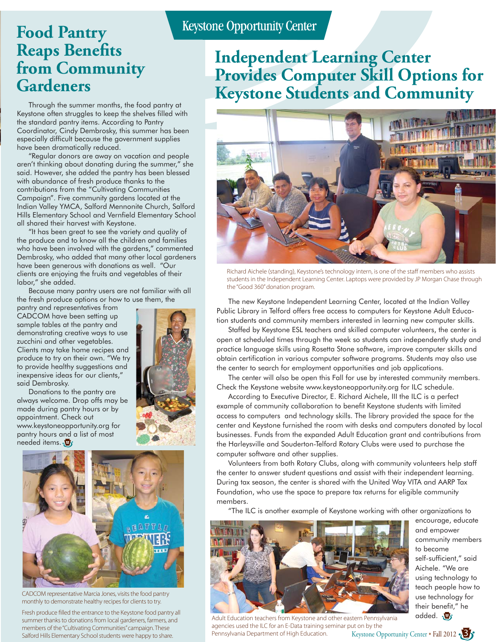## **Food Pantry Reaps Benefits from Community Gardeners**

 Through the summer months, the food pantry at Keystone often struggles to keep the shelves filled with the standard pantry items. According to Pantry Coordinator, Cindy Dembrosky, this summer has been especially difficult because the government supplies have been dramatically reduced.

 "Regular donors are away on vacation and people aren't thinking about donating during the summer," she said. However, she added the pantry has been blessed with abundance of fresh produce thanks to the contributions from the "Cultivating Communities Campaign". Five community gardens located at the Indian Valley YMCA, Salford Mennonite Church, Salford Hills Elementary School and Vernfield Elementary School all shared their harvest with Keystone.

 "It has been great to see the variety and quality of the produce and to know all the children and families who have been involved with the gardens," commented Dembrosky, who added that many other local gardeners have been generous with donations as well. "Our clients are enjoying the fruits and vegetables of their labor," she added.

 Because many pantry users are not familiar with all the fresh produce options or how to use them, the

pantry and representatives from CADCOM have been setting up sample tables at the pantry and demonstrating creative ways to use zucchini and other vegetables. Clients may take home recipes and produce to try on their own. "We try to provide healthy suggestions and inexpensive ideas for our clients," said Dembrosky.



 Donations to the pantry are always welcome. Drop offs may be made during pantry hours or by appointment. Check out www.keystoneopportunity.org for pantry hours and a list of most needed items.



CADCOM representative Marcia Jones, visits the food pantry monthly to demonstrate healthy recipes for clients to try.

Fresh produce filled the entrance to the Keystone food pantry all summer thanks to donations from local gardeners, farmers, and members of the "Cultivating Communities" campaign. These Salford Hills Elementary School students were happy to share.

## **Independent Learning Center Provides Computer Skill Options for Keystone Students and Community**



Richard Aichele (standing), Keystone's technology intern, is one of the staff members who assists students in the Independent Learning Center. Laptops were provided by JP Morgan Chase through the "Good 360" donation program.

 The new Keystone Independent Learning Center, located at the Indian Valley Public Library in Telford offers free access to computers for Keystone Adult Education students and community members interested in learning new computer skills.

 Staffed by Keystone ESL teachers and skilled computer volunteers, the center is open at scheduled times through the week so students can independently study and practice language skills using Rosetta Stone software, improve computer skills and obtain certification in various computer software programs. Students may also use the center to search for employment opportunities and job applications.

 The center will also be open this Fall for use by interested community members. Check the Keystone website www.keystoneopportunity.org for ILC schedule.

 According to Executive Director, E. Richard Aichele, III the ILC is a perfect example of community collaboration to benefit Keystone students with limited access to computers and technology skills. The library provided the space for the center and Keystone furnished the room with desks and computers donated by local businesses. Funds from the expanded Adult Education grant and contributions from the Harleysville and Souderton-Telford Rotary Clubs were used to purchase the computer software and other supplies.

 Volunteers from both Rotary Clubs, along with community volunteers help staff the center to answer student questions and assist with their independent learning. During tax season, the center is shared with the United Way VITA and AARP Tax Foundation, who use the space to prepare tax returns for eligible community members.

"The ILC is another example of Keystone working with other organizations to



encourage, educate and empower community members to become self-sufficient," said Aichele. "We are using technology to teach people how to use technology for their benefit," he added.

Adult Education teachers from Keystone and other eastern Pennsylvania agencies used the ILC for an E-Data training seminar put on by the Pennsylvania Department of High Education.

Keystone Opportunity Center • Fall 2012 3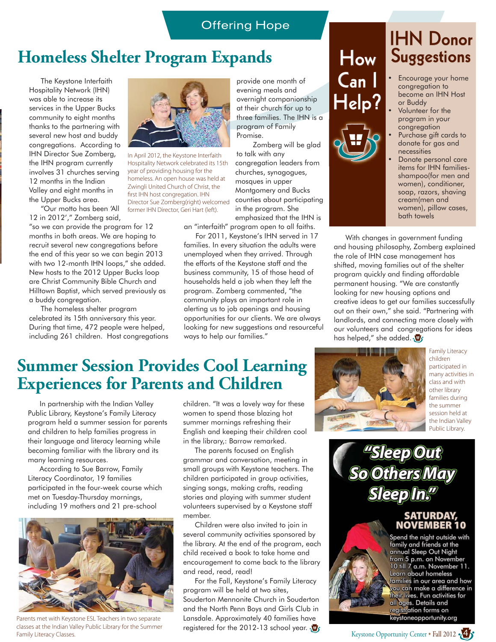### **Offering Hope**

## **Homeless Shelter Program Expands**

 The Keystone Interfaith Hospitality Network (IHN) was able to increase its services in the Upper Bucks community to eight months thanks to the partnering with several new host and buddy congregations. According to IHN Director Sue Zomberg, the IHN program currently involves 31 churches serving 12 months in the Indian Valley and eight months in the Upper Bucks area.

 "Our motto has been 'All 12 in 2012'," Zomberg said,

"so we can provide the program for 12 months in both areas. We are hoping to recruit several new congregations before the end of this year so we can begin 2013 with two 12-month IHN loops," she added. New hosts to the 2012 Upper Bucks loop are Christ Community Bible Church and Hilltown Baptist, which served previously as a buddy congregation.

 The homeless shelter program celebrated its 15th anniversary this year. During that time, 472 people were helped, including 261 children. Host congregations



In April 2012, the Keystone Interfaith Hospitality Network celebrated its 15th year of providing housing for the homeless. An open house was held at Zwingli United Church of Christ, the first IHN host congregation. IHN Director Sue Zomberg(right) welcomed former IHN Director, Geri Hart (left).

provide one month of evening meals and overnight companionship at their church for up to three families. The IHN is a program of Family Promise.

 Zomberg will be glad to talk with any congregation leaders from churches, synagogues, mosques in upper Montgomery and Bucks counties about participating in the program. She emphasized that the IHN is

an "interfaith" program open to all faiths. For 2011, Keystone's IHN served in 17

families. In every situation the adults were unemployed when they arrived. Through the efforts of the Keystone staff and the business community, 15 of those head of households held a job when they left the program. Zomberg commented, "the community plays an important role in alerting us to job openings and housing opportunities for our clients. We are always looking for new suggestions and resourceful ways to help our families."

## **Summer Session Provides Cool Learning Experiences for Parents and Children**

 In partnership with the Indian Valley Public Library, Keystone's Family Literacy program held a summer session for parents and children to help families progress in their language and literacy learning while becoming familiar with the library and its many learning resources.

 According to Sue Barrow, Family Literacy Coordinator, 19 families participated in the four-week course which met on Tuesday-Thursday mornings, including 19 mothers and 21 pre-school



Parents met with Keystone ESL Teachers in two separate classes at the Indian Valley Public Library for the Summer Family Literacy Classes.

children. "It was a lovely way for these women to spend those blazing hot summer mornings refreshing their English and keeping their children cool in the library,: Barrow remarked.

 The parents focused on English grammar and conversation, meeting in small groups with Keystone teachers. The children participated in group activities, singing songs, making crafts, reading stories and playing with summer student volunteers supervised by a Keystone staff member.

 Children were also invited to join in several community activities sponsored by the library. At the end of the program, each child received a book to take home and encouragement to come back to the library and read, read, read!

 For the Fall, Keystone's Family Literacy program will be held at two sites, Souderton Mennonite Church in Souderton and the North Penn Boys and Girls Club in Lansdale. Approximately 40 families have registered for the 2012-13 school year.

## **How Can I IHN Donor**<br>Suggestions • Encourage your home

**Help?**

congregation to become an IHN Host or Buddy Volunteer for the

- program in your congregation
- Purchase gift cards to donate for gas and necessities
- Donate personal care items for IHN familiesshampoo(for men and women), conditioner, soap, razors, shaving cream(men and women), pillow cases, bath towels

 With changes in government funding and housing philosophy, Zomberg explained the role of IHN case management has shifted, moving families out of the shelter program quickly and finding affordable permanent housing. "We are constantly looking for new housing options and creative ideas to get our families successfully out on their own," she said. "Partnering with landlords, and connecting more closely with our volunteers and congregations for ideas has helped," she added.  $\overline{\mathbf{\Psi}}$ 



Family Literacy children participated in many activities in class and with other library families during the summer session held at the Indian Valley Public Library.

*"Sleep Out So Others May*  $\boldsymbol{\mathsf{S}}$  *leep In.* 

## **SATURDAY, NOVEMBER 10**

Spend the night outside with family and friends at the annual Sleep Out Night from 5 p.m. on November 10 till 7 a.m. November 11. Learn about homeless families in our area and how you can make a difference in their lives. Fun activities for all ages. Details and registration forms on keystoneopportunity.org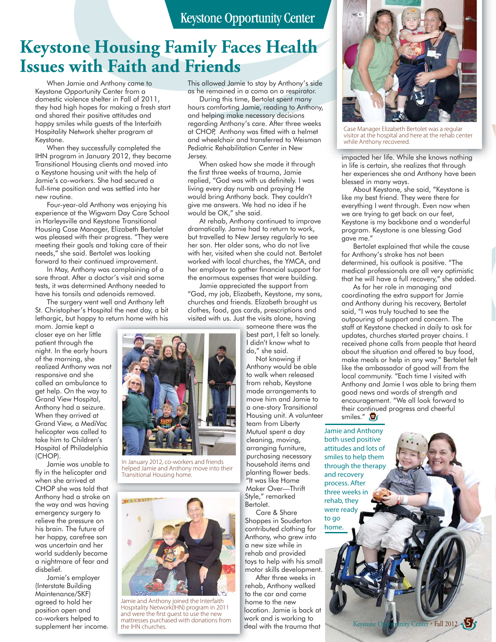## **Keystone Opportunity Center**

## **Keystone Housing Family Faces Health Issues with Faith and Friends**

 When Jamie and Anthony came to Keystone Opportunity Center from a domestic violence shelter in Fall of 2011, they had high hopes for making a fresh start and shared their positive attitudes and happy smiles while guests of the Interfaith Hospitality Network shelter program at Keystone.

 When they successfully completed the IHN program in January 2012, they became Transitional Housing clients and moved into a Keystone housing unit with the help of Jamie's co-workers. She had secured a full-time position and was settled into her new routine.

 Four-year-old Anthony was enjoying his experience at the Wigwam Day Care School in Harleysville and Keystone Transitional Housing Case Manager, Elizabeth Bertolet was pleased with their progress. "They were meeting their goals and taking care of their needs," she said. Bertolet was looking forward to their continued improvement.

 In May, Anthony was complaining of a sore throat. After a doctor's visit and some tests, it was determined Anthony needed to have his tonsils and adenoids removed.

 The surgery went well and Anthony left St. Christopher's Hospital the next day, a bit lethargic, but happy to return home with his

mom. Jamie kept a closer eye on her little patient through the night. In the early hours of the morning, she realized Anthony was not responsive and she called an ambulance to get help. On the way to Grand View Hospital, Anthony had a seizure. When they arrived at Grand View, a MediVac helicopter was called to take him to Children's Hospital of Philadelphia (CHOP). s ot a<br>o a<br>c a<br>a

 Jamie was unable to o fly in the helicopter and when she arrived at CHOP she was told that t Anthony had a stroke on n the way and was having g emergency surgery to relieve the pressure on his brain. The future of her happy, carefree son was uncertain and her world suddenly became e a nightmare of fear and d disbelief.

 Jamie's employer (Interstate Building Maintenance/SKF) agreed to hold her position open and co-workers helped to supplement her income. . This allowed Jamie to stay by Anthony's side as he remained in a coma on a respirator.

 During this time, Bertolet spent many hours comforting Jamie, reading to Anthony, and helping make necessary decisions regarding Anthony's care. After three weeks at CHOP, Anthony was fitted with a helmet and wheelchair and transferred to Weisman Pediatric Rehabilitation Center in New Jersey.

 When asked how she made it through the first three weeks of trauma, Jamie replied, "God was with us definitely. I was living every day numb and praying He would bring Anthony back. They couldn't give me answers. We had no idea if he would be OK," she said.

 At rehab, Anthony continued to improve dramatically. Jamie had to return to work, but travelled to New Jersey regularly to see her son. Her older sons, who do not live with her, visited when she could not. Bertolet worked with local churches, the YMCA, and her employer to gather financial support for the enormous expenses that were building.

 Jamie appreciated the support from "God, my job, Elizabeth, Keystone, my sons, churches and friends. Elizabeth brought us clothes, food, gas cards, prescriptions and visited with us. Just the visits alone, having

> someone there was the so best part, I felt so lonely. be I didn't know what to I d do," she said. do

 Not knowing if Anthony would be able An to walk when released to from rehab, Keystone fro made arrangements to m move him and Jamie to m a one-story Transitional Housing unit. A volunteer Ho team from Liberty te Mutual spent a day M cleaning, moving, cle arranging furniture, ar purchasing necessary pu household items and ho planting flower beds. pla "It was like Home "It Maker Over—Thrift M ilt was like Home"<br>Maker Over—Th<br>Style," remarked Bertolet. Be

 Care & Share Shoppes in Souderton Sh contributed clothing for co Anthony, who grew into An a new size while in a rehab and provided re toys to help with his small toy motor skills development. m

 After three weeks in rehab, Anthony walked re to the car and came to home to the new ho location. Jamie is back at loc work and is working to wo deal with the trauma that de



Case Manager Elizabeth Bertolet was a regular visitor at the hospital and here at the rehab center while Anthony recovered.

impacted her life. While she knows nothing in life is certain, she realizes that through her experiences she and Anthony have been blessed in many ways.

 About Keystone, she said, "Keystone is like my best friend. They were there for everything I went through. Even now when we are trying to get back on our feet, Keystone is my backbone and a wonderful program. Keystone is one blessing God gave me."

 Bertolet explained that while the cause for Anthony's stroke has not been determined, his outlook is positive. "The medical professionals are all very optimistic that he will have a full recovery," she added.

 As for her role in managing and coordinating the extra support for Jamie and Anthony during his recovery, Bertolet said, "I was truly touched to see the outpouring of support and concern. The staff at Keystone checked in daily to ask for updates, churches started prayer chains. I received phone calls from people that heard about the situation and offered to buy food, make meals or help in any way." Bertolet felt like the ambassador of good will from the local community. "Each time I visited with Anthony and Jamie I was able to bring them good news and words of strength and encouragement. "We all look forward to their continued progress and cheerful smiles."

hath used nasitive positive and lots of attitude and lots of<br>cmiles to help them smiles to help them.<br>through the therany and recovery ntocess After r<br>three weeks in rehab, they rehaa, arey<br>were ready to go home ready

home.

Keystone Opportunity Center • Fall 2012 **5** 



In January 2012, co-workers and friends helped Jamie and Anthony move into their Transitional Housing home.



Jamie and Anthony joined the Interfaith Hospitality Network(IHN) program in 2011 and were the first guest to use the new mattresses purchased with donations from the IHN churches.